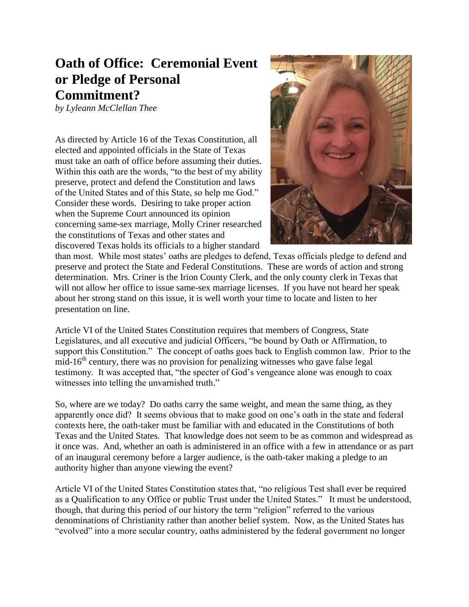## **Oath of Office: Ceremonial Event or Pledge of Personal Commitment?**

*by Lyleann McClellan Thee*

As directed by Article 16 of the Texas Constitution, all elected and appointed officials in the State of Texas must take an oath of office before assuming their duties. Within this oath are the words, "to the best of my ability preserve, protect and defend the Constitution and laws of the United States and of this State, so help me God." Consider these words. Desiring to take proper action when the Supreme Court announced its opinion concerning same-sex marriage, Molly Criner researched the constitutions of Texas and other states and discovered Texas holds its officials to a higher standard



than most. While most states' oaths are pledges to defend, Texas officials pledge to defend and preserve and protect the State and Federal Constitutions. These are words of action and strong determination. Mrs. Criner is the Irion County Clerk, and the only county clerk in Texas that will not allow her office to issue same-sex marriage licenses. If you have not heard her speak about her strong stand on this issue, it is well worth your time to locate and listen to her presentation on line.

Article VI of the United States Constitution requires that members of Congress, State Legislatures, and all executive and judicial Officers, "be bound by Oath or Affirmation, to support this Constitution." The concept of oaths goes back to English common law. Prior to the mid-16<sup>th</sup> century, there was no provision for penalizing witnesses who gave false legal testimony. It was accepted that, "the specter of God's vengeance alone was enough to coax witnesses into telling the unvarnished truth."

So, where are we today? Do oaths carry the same weight, and mean the same thing, as they apparently once did? It seems obvious that to make good on one's oath in the state and federal contexts here, the oath-taker must be familiar with and educated in the Constitutions of both Texas and the United States. That knowledge does not seem to be as common and widespread as it once was. And, whether an oath is administered in an office with a few in attendance or as part of an inaugural ceremony before a larger audience, is the oath-taker making a pledge to an authority higher than anyone viewing the event?

Article VI of the United States Constitution states that, "no religious Test shall ever be required as a Qualification to any Office or public Trust under the United States." It must be understood, though, that during this period of our history the term "religion" referred to the various denominations of Christianity rather than another belief system. Now, as the United States has "evolved" into a more secular country, oaths administered by the federal government no longer